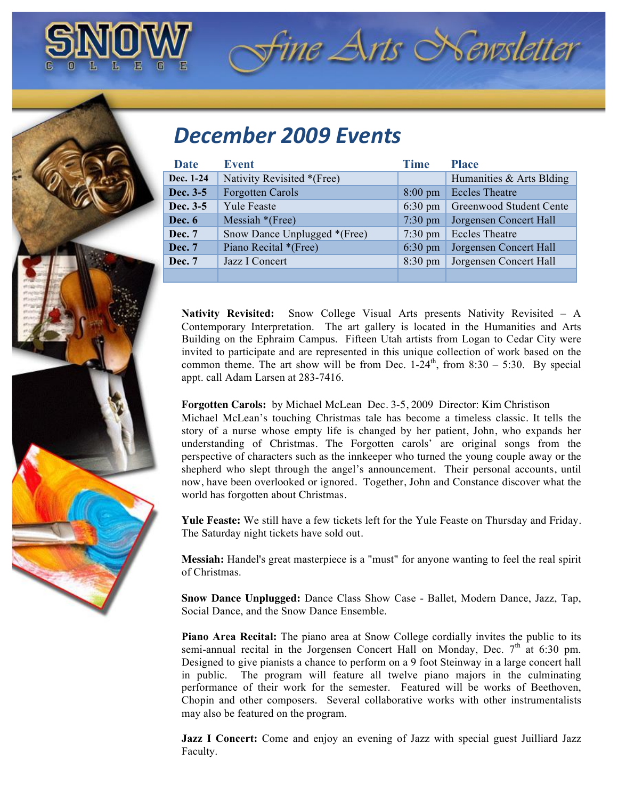

## *December'2009'Events*

| Date          | Event                        | <b>Time</b>       | <b>Place</b>             |
|---------------|------------------------------|-------------------|--------------------------|
| Dec. 1-24     | Nativity Revisited *(Free)   |                   | Humanities & Arts Blding |
| Dec. 3-5      | <b>Forgotten Carols</b>      | $8:00 \text{ pm}$ | <b>Eccles Theatre</b>    |
| Dec. 3-5      | <b>Yule Feaste</b>           | $6:30 \text{ pm}$ | Greenwood Student Cente  |
| Dec. 6        | Messiah $*(Free)$            | $7:30 \text{ pm}$ | Jorgensen Concert Hall   |
| Dec. 7        | Snow Dance Unplugged *(Free) | $7:30 \text{ pm}$ | <b>Eccles Theatre</b>    |
| <b>Dec.</b> 7 | Piano Recital *(Free)        | $6:30 \text{ pm}$ | Jorgensen Concert Hall   |
| Dec. 7        | Jazz I Concert               | $8:30 \text{ pm}$ | Jorgensen Concert Hall   |
|               |                              |                   |                          |

*Fine Arts Newsletter* 

**Nativity Revisited:** Snow College Visual Arts presents Nativity Revisited – A Contemporary Interpretation. The art gallery is located in the Humanities and Arts Building on the Ephraim Campus. Fifteen Utah artists from Logan to Cedar City were invited to participate and are represented in this unique collection of work based on the common theme. The art show will be from Dec.  $1-24<sup>th</sup>$ , from  $8:30-5:30$ . By special appt. call Adam Larsen at 283-7416.

## **Forgotten Carols:** by Michael McLean Dec. 3-5, 2009 Director: Kim Christison

Michael McLean's touching Christmas tale has become a timeless classic. It tells the story of a nurse whose empty life is changed by her patient, John, who expands her understanding of Christmas. The Forgotten carols' are original songs from the perspective of characters such as the innkeeper who turned the young couple away or the shepherd who slept through the angel's announcement. Their personal accounts, until now, have been overlooked or ignored. Together, John and Constance discover what the world has forgotten about Christmas.

**Yule Feaste:** We still have a few tickets left for the Yule Feaste on Thursday and Friday. The Saturday night tickets have sold out.

**Messiah:** Handel's great masterpiece is a "must" for anyone wanting to feel the real spirit of Christmas.

**Snow Dance Unplugged:** Dance Class Show Case - Ballet, Modern Dance, Jazz, Tap, Social Dance, and the Snow Dance Ensemble.

**Piano Area Recital:** The piano area at Snow College cordially invites the public to its semi-annual recital in the Jorgensen Concert Hall on Monday, Dec.  $7<sup>th</sup>$  at 6:30 pm. Designed to give pianists a chance to perform on a 9 foot Steinway in a large concert hall in public. The program will feature all twelve piano majors in the culminating performance of their work for the semester. Featured will be works of Beethoven, Chopin and other composers. Several collaborative works with other instrumentalists may also be featured on the program.

**Jazz I Concert:** Come and enjoy an evening of Jazz with special guest Juilliard Jazz Faculty.